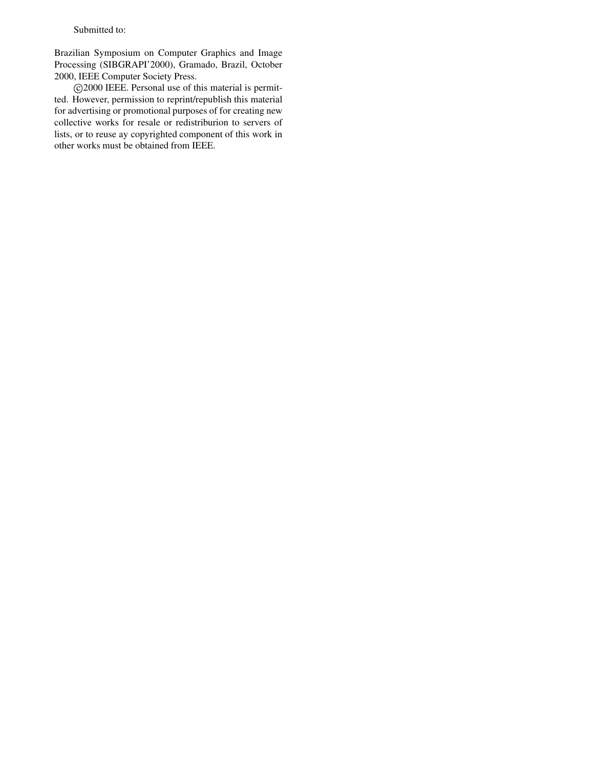# Submitted to:

Brazilian Symposium on Computer Graphics and Image Processing (SIBGRAPI'2000), Gramado, Brazil, October 2000, IEEE Computer Society Press.

c 2000 IEEE. Personal use of this material is permitted. However, permission to reprint/republish this material for advertising or promotional purposes of for creating new collective works for resale or redistriburion to servers of lists, or to reuse ay copyrighted component of this work in other works must be obtained from IEEE.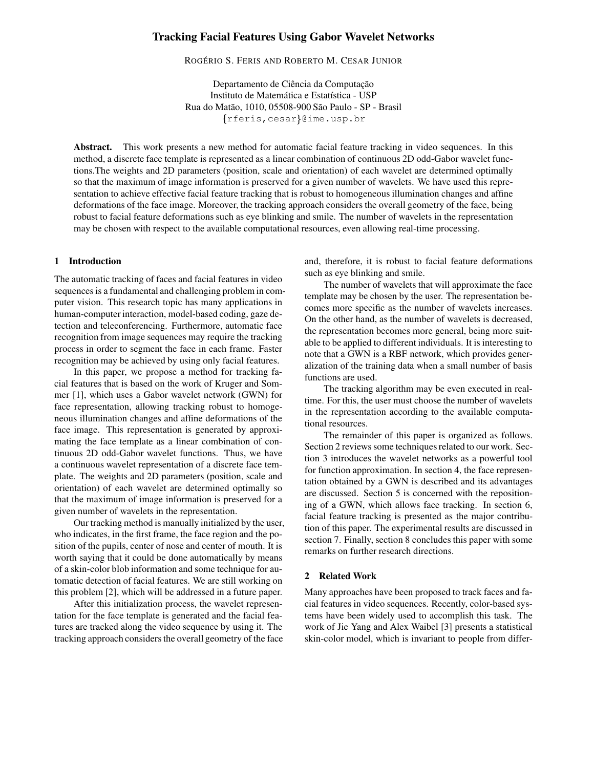# **Tracking Facial Features Using Gabor Wavelet Networks**

ROGÉRIO S. FERIS AND ROBERTO M. CESAR JUNIOR

Departamento de Ciência da Computação Instituto de Matemática e Estatística - USP Rua do Matão, 1010, 05508-900 São Paulo - SP - Brasil  $\{rferis, cesar\}$ @ime.usp.br

**Abstract.** This work presents a new method for automatic facial feature tracking in video sequences. In this method, a discrete face template is represented as a linear combination of continuous 2D odd-Gabor wavelet functions.The weights and 2D parameters (position, scale and orientation) of each wavelet are determined optimally so that the maximum of image information is preserved for a given number of wavelets. We have used this representation to achieve effective facial feature tracking that is robust to homogeneous illumination changes and affine deformations of the face image. Moreover, the tracking approach considers the overall geometry of the face, being robust to facial feature deformations such as eye blinking and smile. The number of wavelets in the representation may be chosen with respect to the available computational resources, even allowing real-time processing.

## **1 Introduction**

The automatic tracking of faces and facial features in video sequences is a fundamental and challenging problem in computer vision. This research topic has many applications in human-computer interaction, model-based coding, gaze detection and teleconferencing. Furthermore, automatic face recognition from image sequences may require the tracking process in order to segment the face in each frame. Faster recognition may be achieved by using only facial features.

In this paper, we propose a method for tracking facial features that is based on the work of Kruger and Sommer [1], which uses a Gabor wavelet network (GWN) for face representation, allowing tracking robust to homogeneous illumination changes and affine deformations of the face image. This representation is generated by approximating the face template as a linear combination of continuous 2D odd-Gabor wavelet functions. Thus, we have a continuous wavelet representation of a discrete face template. The weights and 2D parameters (position, scale and orientation) of each wavelet are determined optimally so that the maximum of image information is preserved for a given number of wavelets in the representation.

Our tracking method is manually initialized by the user, who indicates, in the first frame, the face region and the position of the pupils, center of nose and center of mouth. It is worth saying that it could be done automatically by means of a skin-color blob information and some technique for automatic detection of facial features. We are still working on this problem [2], which will be addressed in a future paper.

After this initialization process, the wavelet representation for the face template is generated and the facial features are tracked along the video sequence by using it. The tracking approach considers the overall geometry of the face and, therefore, it is robust to facial feature deformations such as eye blinking and smile.

The number of wavelets that will approximate the face template may be chosen by the user. The representation becomes more specific as the number of wavelets increases. On the other hand, as the number of wavelets is decreased, the representation becomes more general, being more suitable to be applied to different individuals. It is interesting to note that a GWN is a RBF network, which provides generalization of the training data when a small number of basis functions are used.

The tracking algorithm may be even executed in realtime. For this, the user must choose the number of wavelets in the representation according to the available computational resources.

The remainder of this paper is organized as follows. Section 2 reviews some techniques related to our work. Section 3 introduces the wavelet networks as a powerful tool for function approximation. In section 4, the face representation obtained by a GWN is described and its advantages are discussed. Section 5 is concerned with the repositioning of a GWN, which allows face tracking. In section 6, facial feature tracking is presented as the major contribution of this paper. The experimental results are discussed in section 7. Finally, section 8 concludes this paper with some remarks on further research directions.

## **2 Related Work**

Many approaches have been proposed to track faces and facial features in video sequences. Recently, color-based systems have been widely used to accomplish this task. The work of Jie Yang and Alex Waibel [3] presents a statistical skin-color model, which is invariant to people from differ-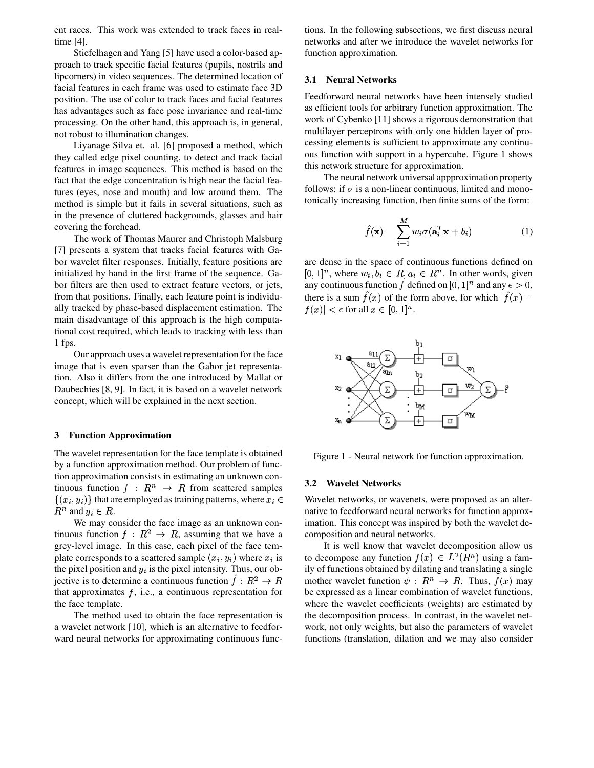ent races. This work was extended to track faces in realtime [4].

Stiefelhagen and Yang [5] have used a color-based approach to track specific facial features (pupils, nostrils and lipcorners) in video sequences. The determined location of facial features in each frame was used to estimate face 3D position. The use of color to track faces and facial features has advantages such as face pose invariance and real-time processing. On the other hand, this approach is, in general, not robust to illumination changes.

Liyanage Silva et. al. [6] proposed a method, which they called edge pixel counting, to detect and track facial features in image sequences. This method is based on the fact that the edge concentration is high near the facial features (eyes, nose and mouth) and low around them. The method is simple but it fails in several situations, such as in the presence of cluttered backgrounds, glasses and hair covering the forehead.

The work of Thomas Maurer and Christoph Malsburg [7] presents a system that tracks facial features with Gabor wavelet filter responses. Initially, feature positions are initialized by hand in the first frame of the sequence. Gabor filters are then used to extract feature vectors, or jets, from that positions. Finally, each feature point is individually tracked by phase-based displacement estimation. The main disadvantage of this approach is the high computational cost required, which leads to tracking with less than 1 fps.

Our approach uses a wavelet representation for the face image that is even sparser than the Gabor jet representation. Also it differs from the one introduced by Mallat or Daubechies [8, 9]. In fact, it is based on a wavelet network concept, which will be explained in the next section.

#### **3 Function Approximation**

The wavelet representation for the face template is obtained by a function approximation method. Our problem of function approximation consists in estimating an unknown continuous function  $f: R^n \to R$  from scattered samples  $\{(x_i, y_i)\}\)$  that are employed as training patterns, where  $x_i \in \mathbb{V}$  Wave  $R^n$  and  $y_i \in R$ .

We may consider the face image as an unknown continuous function  $f: R^2 \to R$ , assuming that we have a grey-level image. In this case, each pixel of the face template corresponds to a scattered sample  $(x_i, y_i)$  where  $x_i$  is the pixel position and  $y_i$  is the pixel intensity. Thus, our objective is to determine a continuous function  $f: R^2 \to R$  mother wa that approximates  $f$ , i.e., a continuous representation for the face template.

The method used to obtain the face representation is a wavelet network [10], which is an alternative to feedforward neural networks for approximating continuous functions. In the following subsections, we first discuss neural networks and after we introduce the wavelet networks for function approximation.

## **3.1 Neural Networks**

Feedforward neural networks have been intensely studied as efficient tools for arbitrary function approximation. The work of Cybenko [11] shows a rigorous demonstration that multilayer perceptrons with only one hidden layer of processing elements is sufficient to approximate any continuous function with support in a hypercube. Figure 1 shows this network structure for approximation.

The neural network universal appproximation property follows: if  $\sigma$  is a non-linear continuous, limited and monotonically increasing function, then finite sums of the form:

$$
\hat{f}(\mathbf{x}) = \sum_{i=1}^{M} w_i \sigma(\mathbf{a}_i^T \mathbf{x} + b_i)
$$
 (1)

are dense in the space of continuous functions defined on  $[0, 1]^n$ , where  $w_i, b_i \in R$ ,  $a_i \in R^n$ . In other words, given any continuous function f defined on  $[0, 1]^n$  and any  $\epsilon > 0$ , there is a sum  $f(x)$  of the form above, for which  $|f(x) |f(x)| < \epsilon$  for all  $x \in [0,1]^n$ .



Figure 1 - Neural network for function approximation.

#### **3.2 Wavelet Networks**

Wavelet networks, or wavenets, were proposed as an alternative to feedforward neural networks for function approximation. This concept was inspired by both the wavelet decomposition and neural networks.

It is well know that wavelet decomposition allow us to decompose any function  $f(x) \in L^2(R^n)$  using a family of functions obtained by dilating and translating a single mother wavelet function  $\psi: R^n \to R$ . Thus,  $f(x)$  may be expressed as a linear combination of wavelet functions, where the wavelet coefficients (weights) are estimated by the decomposition process. In contrast, in the wavelet network, not only weights, but also the parameters of wavelet functions (translation, dilation and we may also consider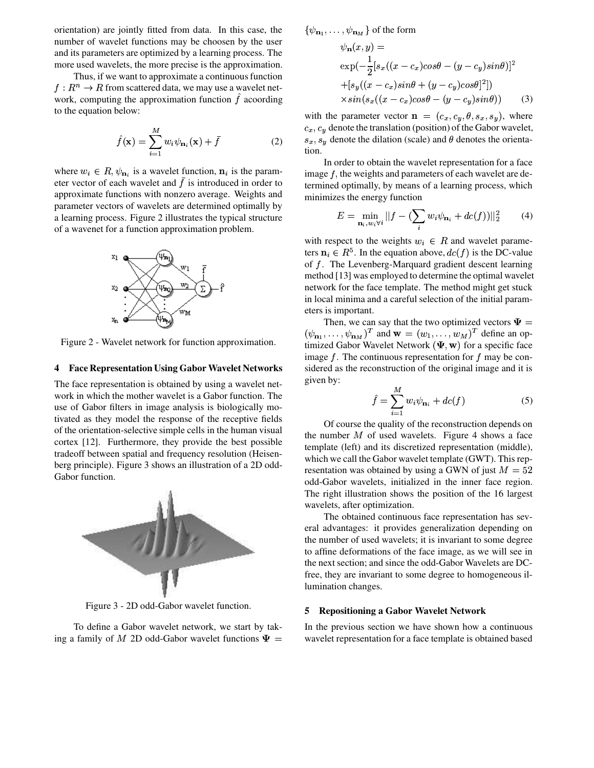orientation) are jointly fitted from data. In this case, the number of wavelet functions may be choosen by the user and its parameters are optimized by a learning process. The more used wavelets, the more precise is the approximation.

Thus, if we want to approximate a continuous function  $f: R^n \rightarrow R$  from scattered data, we may use a wavelet network, computing the approximation function  $f$  acoording to the equation below:

$$
\hat{f}(\mathbf{x}) = \sum_{i=1}^{M} w_i \psi_{\mathbf{n}_i}(\mathbf{x}) + \bar{f}
$$
 (2)

where  $w_i \in R$ ,  $\psi_{\mathbf{n}_i}$  is a wavelet function,  $\mathbf{n}_i$  is the parameter vector of each wavelet and  $\bar{f}$  is introduced in order to approximate functions with nonzero average. Weights and parameter vectors of wavelets are determined optimally by a learning process. Figure 2 illustrates the typical structure of a wavenet for a function approximation problem.



Figure 2 - Wavelet network for function approximation.

### **4 Face Representation Using Gabor Wavelet Networks**

The face representation is obtained by using a wavelet network in which the mother wavelet is a Gabor function. The use of Gabor filters in image analysis is biologically motivated as they model the response of the receptive fields of the orientation-selective simple cells in the human visual cortex [12]. Furthermore, they provide the best possible tradeoff between spatial and frequency resolution (Heisenberg principle). Figure 3 shows an illustration of a 2D odd-Gabor function.



Figure 3 - 2D odd-Gabor wavelet function.

To define a Gabor wavelet network, we start by taking a family of M 2D odd-Gabor wavelet functions  $\Psi =$  wavelet

 $\{\psi_{{\bf n}_1},\ldots,\psi_{{\bf n}_M}\}$  of the form

$$
\psi_{\mathbf{n}}(x,y) =
$$
  
\n
$$
\exp(-\frac{1}{2}[s_x((x-c_x)cos\theta - (y-c_y)sin\theta)]^2
$$
  
\n
$$
+[s_y((x-c_x)sin\theta + (y-c_y)cos\theta]^2])
$$
  
\n
$$
\times sin(s_x((x-c_x)cos\theta - (y-c_y)sin\theta))
$$
\n(3)

with the parameter vector  $\mathbf{n} = (c_x, c_y, \theta, s_x, s_y)$ , where  $c_x, c_y$  denote the translation (position) of the Gabor wavelet,  $s_x, s_y$  denote the dilation (scale) and  $\theta$  denotes the orientation.

In order to obtain the wavelet representation for a face image  $f$ , the weights and parameters of each wavelet are determined optimally, by means of a learning process, which minimizes the energy function

$$
E = \min_{\mathbf{n}_i, w_i \forall i} ||f - (\sum_i w_i \psi_{\mathbf{n}_i} + dc(f))||_2^2 \tag{4}
$$

with respect to the weights  $w_i \in R$  and wavelet parameters  $n_i \in R^5$ . In the equation above,  $dc(f)$  is the DC-value of  $f$ . The Levenberg-Marquard gradient descent learning method [13] was employed to determine the optimal wavelet network for the face template. The method might get stuck in local minima and a careful selection of the initial parameters is important.

Then, we can say that the two optimized vectors  $\Psi =$  $(\psi_{\mathbf{n}_1}, \ldots, \psi_{\mathbf{n}_M})^T$  and  $\mathbf{w} = (w_1, \ldots, w_M)^T$  define an optimized Gabor Wavelet Network  $(\Psi, \mathbf{w})$  for a specific face image  $f$ . The continuous representation for  $f$  may be considered as the reconstruction of the original image and it is given by:

$$
\hat{f} = \sum_{i=1}^{M} w_i \psi_{\mathbf{n}_i} + dc(f) \tag{5}
$$

Of course the quality of the reconstruction depends on the number  $M$  of used wavelets. Figure 4 shows a face template (left) and its discretized representation (middle), which we call the Gabor wavelet template (GWT). This representation was obtained by using a GWN of just  $M = 52$ odd-Gabor wavelets, initialized in the inner face region. The right illustration shows the position of the 16 largest wavelets, after optimization.

The obtained continuous face representation has several advantages: it provides generalization depending on the number of used wavelets; it is invariant to some degree to affine deformations of the face image, as we will see in the next section; and since the odd-Gabor Wavelets are DCfree, they are invariant to some degree to homogeneous illumination changes.

#### **5 Repositioning a Gabor Wavelet Network**

 wavelet representation for a face template is obtained basedIn the previous section we have shown how a continuous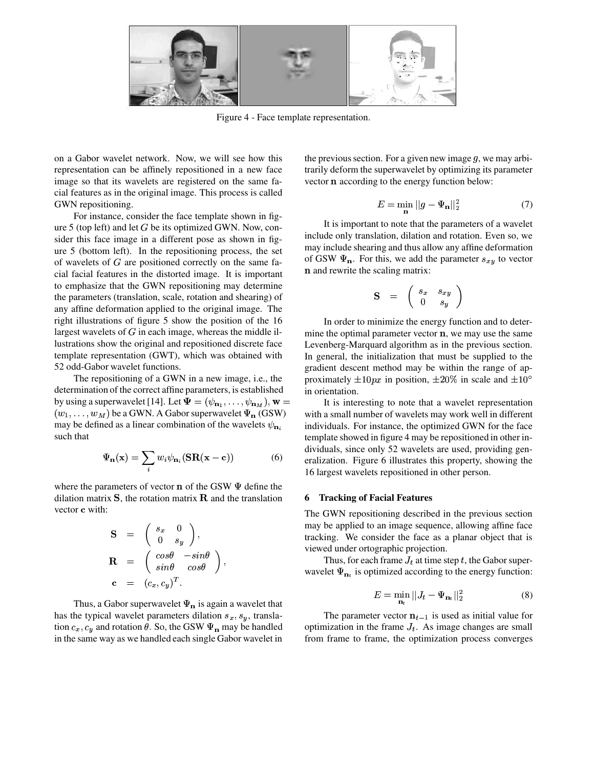

Figure 4 - Face template representation.

on a Gabor wavelet network. Now, we will see how this representation can be affinely repositioned in a new face image so that its wavelets are registered on the same facial features as in the original image. This process is called GWN repositioning.

For instance, consider the face template shown in figure 5 (top left) and let  $G$  be its optimized GWN. Now, consider this face image in a different pose as shown in figure 5 (bottom left). In the repositioning process, the set of wavelets of  $G$  are positioned correctly on the same facial facial features in the distorted image. It is important to emphasize that the GWN repositioning may determine the parameters (translation, scale, rotation and shearing) of any affine deformation applied to the original image. The right illustrations of figure 5 show the position of the 16 largest wavelets of  $G$  in each image, whereas the middle illustrations show the original and repositioned discrete face template representation (GWT), which was obtained with 52 odd-Gabor wavelet functions.

The repositioning of a GWN in a new image, i.e., the determination of the correct affine parameters, is established by using a superwavelet [14]. Let  $\Psi = (\psi_{\mathbf{n}_1}, \dots, \psi_{\mathbf{n}_M}), \mathbf{w} =$  It is in  $(w_1, \ldots, w_M)$  be a GWN. A Gabor superwavelet  $\Psi_{\mathbf{n}}\text{(GSW)}$ may be defined as a linear combination of the wavelets  $\psi_{\mathbf{n}_i}$ such that

$$
\Psi_{\mathbf{n}}(\mathbf{x}) = \sum_{i} w_i \psi_{\mathbf{n}_i} (\mathbf{SR}(\mathbf{x} - \mathbf{c})) \tag{6}
$$

where the parameters of vector  $\bf{n}$  of the GSW  $\Psi$  define the dilation matrix  $S$ , the rotation matrix  $R$  and the translation vector **c** with:

$$
\mathbf{S} = \begin{pmatrix} s_x & 0 \\ 0 & s_y \end{pmatrix},
$$
  
\n
$$
\mathbf{R} = \begin{pmatrix} \cos \theta & -\sin \theta \\ \sin \theta & \cos \theta \end{pmatrix},
$$
  
\n
$$
\mathbf{c} = (c_x, c_y)^T.
$$

Thus, a Gabor superwavelet  $\Psi_n$  is again a wavelet that has the typical wavelet parameters dilation  $s_x, s_y$ , translation  $c_x$ ,  $c_y$  and rotation  $\theta$ . So, the GSW  $\Psi_n$  may be handled in the same way as we handled each single Gabor wavelet in the previous section. For a given new image  $q$ , we may arbitrarily deform the superwavelet by optimizing its parameter vector  $\bf{n}$  according to the energy function below:

$$
E = \min_{\mathbf{n}} ||g - \Psi_{\mathbf{n}}||_2^2 \tag{7}
$$

It is important to note that the parameters of a wavelet include only translation, dilation and rotation. Even so, we may include shearing and thus allow any affine deformation of GSW  $\Psi_{\mathbf{n}}$ . For this, we add the parameter  $s_{xy}$  to vector **n** and rewrite the scaling matrix:

$$
\mathbf{S} \quad = \quad \left( \begin{array}{cc} s_x & s_{xy} \\ 0 & s_y \end{array} \right)
$$

In order to minimize the energy function and to determine the optimal parameter vector  $\mathbf n$ , we may use the same Levenberg-Marquard algorithm as in the previous section. In general, the initialization that must be supplied to the gradient descent method may be within the range of approximately  $\pm 10px$  in position,  $\pm 20\%$  in scale and  $\pm 10^{\circ}$ in orientation.

It is interesting to note that a wavelet representation with a small number of wavelets may work well in different individuals. For instance, the optimized GWN for the face template showed in figure 4 may be repositioned in other individuals, since only 52 wavelets are used, providing generalization. Figure 6 illustrates this property, showing the 16 largest wavelets repositioned in other person.

#### **6 Tracking of Facial Features**

The GWN repositioning described in the previous section may be applied to an image sequence, allowing affine face tracking. We consider the face as a planar object that is viewed under ortographic projection.

Thus, for each frame  $J_t$  at time step t, the Gabor superwavelet  $\Psi_{n_t}$  is optimized according to the energy function:

$$
E = \min_{\mathbf{n}_t} ||J_t - \Psi_{\mathbf{n}_t}||_2^2 \tag{8}
$$

The parameter vector  $n_{t-1}$  is used as initial value for optimization in the frame  $J_t$ . As image changes are small from frame to frame, the optimization process converges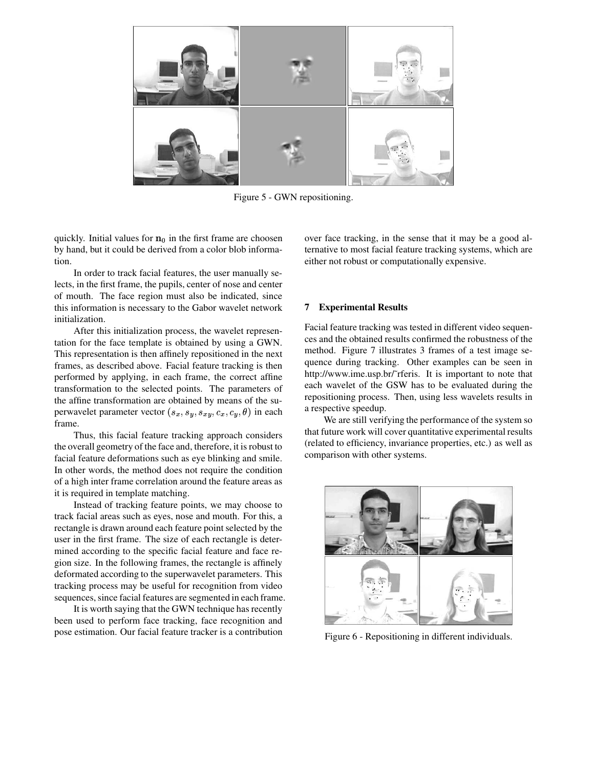

Figure 5 - GWN repositioning.

quickly. Initial values for  $\mathbf{n}_0$  in the first frame are choosen by hand, but it could be derived from a color blob information.

In order to track facial features, the user manually selects, in the first frame, the pupils, center of nose and center of mouth. The face region must also be indicated, since this information is necessary to the Gabor wavelet network initialization.

After this initialization process, the wavelet representation for the face template is obtained by using a GWN. This representation is then affinely repositioned in the next frames, as described above. Facial feature tracking is then performed by applying, in each frame, the correct affine transformation to the selected points. The parameters of the affine transformation are obtained by means of the superwavelet parameter vector  $(s_x, s_y, s_{xy}, c_x, c_y, \theta)$  in each frame.

Thus, this facial feature tracking approach considers the overall geometry of the face and, therefore, it is robust to facial feature deformations such as eye blinking and smile. In other words, the method does not require the condition of a high inter frame correlation around the feature areas as it is required in template matching.

Instead of tracking feature points, we may choose to track facial areas such as eyes, nose and mouth. For this, a rectangle is drawn around each feature point selected by the user in the first frame. The size of each rectangle is determined according to the specific facial feature and face region size. In the following frames, the rectangle is affinely deformated according to the superwavelet parameters. This tracking process may be useful for recognition from video sequences, since facial features are segmented in each frame.

It is worth saying that the GWN technique has recently been used to perform face tracking, face recognition and pose estimation. Our facial feature tracker is a contribution over face tracking, in the sense that it may be a good alternative to most facial feature tracking systems, which are either not robust or computationally expensive.

### **7 Experimental Results**

Facial feature tracking was tested in different video sequences and the obtained results confirmed the robustness of the method. Figure 7 illustrates 3 frames of a test image sequence during tracking. Other examples can be seen in http://www.ime.usp.br/˜rferis. It is important to note that each wavelet of the GSW has to be evaluated during the repositioning process. Then, using less wavelets results in a respective speedup.

We are still verifying the performance of the system so that future work will cover quantitative experimental results (related to efficiency, invariance properties, etc.) as well as comparison with other systems.



Figure 6 - Repositioning in different individuals.